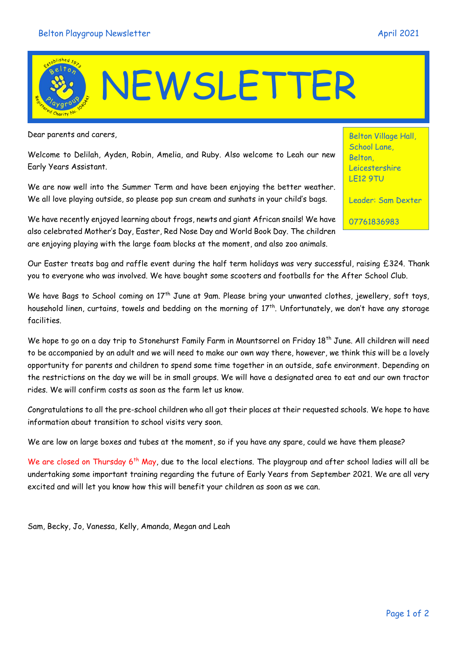## We have recently enjoyed learning about frogs, newts and giant African snails! We have also celebrated Mother's Day, Easter, Red Nose Day and World Book Day. The children

are enjoying playing with the large foam blocks at the moment, and also zoo animals. Our Easter treats bag and raffle event during the half term holidays was very successful, raising £324. Thank

you to everyone who was involved. We have bought some scooters and footballs for the After School Club.

We have Bags to School coming on 17<sup>th</sup> June at 9am. Please bring your unwanted clothes, jewellery, soft toys, household linen, curtains, towels and bedding on the morning of 17<sup>th</sup>. Unfortunately, we don't have any storage facilities.

We hope to go on a day trip to Stonehurst Family Farm in Mountsorrel on Friday 18<sup>th</sup> June. All children will need to be accompanied by an adult and we will need to make our own way there, however, we think this will be a lovely opportunity for parents and children to spend some time together in an outside, safe environment. Depending on the restrictions on the day we will be in small groups. We will have a designated area to eat and our own tractor rides. We will confirm costs as soon as the farm let us know.

Congratulations to all the pre-school children who all got their places at their requested schools. We hope to have information about transition to school visits very soon.

We are low on large boxes and tubes at the moment, so if you have any spare, could we have them please?

We are closed on Thursday 6<sup>th</sup> May, due to the local elections. The playgroup and after school ladies will all be undertaking some important training regarding the future of Early Years from September 2021. We are all very excited and will let you know how this will benefit your children as soon as we can.

Sam, Becky, Jo, Vanessa, Kelly, Amanda, Megan and Leah

## NEWSLETTER

Dear parents and carers,

Welcome to Delilah, Ayden, Robin, Amelia, and Ruby. Also welcome to Leah our new Early Years Assistant.

We are now well into the Summer Term and have been enjoying the better weather. We all love playing outside, so please pop sun cream and sunhats in your child's bags.



Leicestershire LE12 9TU

Belton Village Hall, School Lane, **Belton** 

Leader: Sam Dexter

07761836983